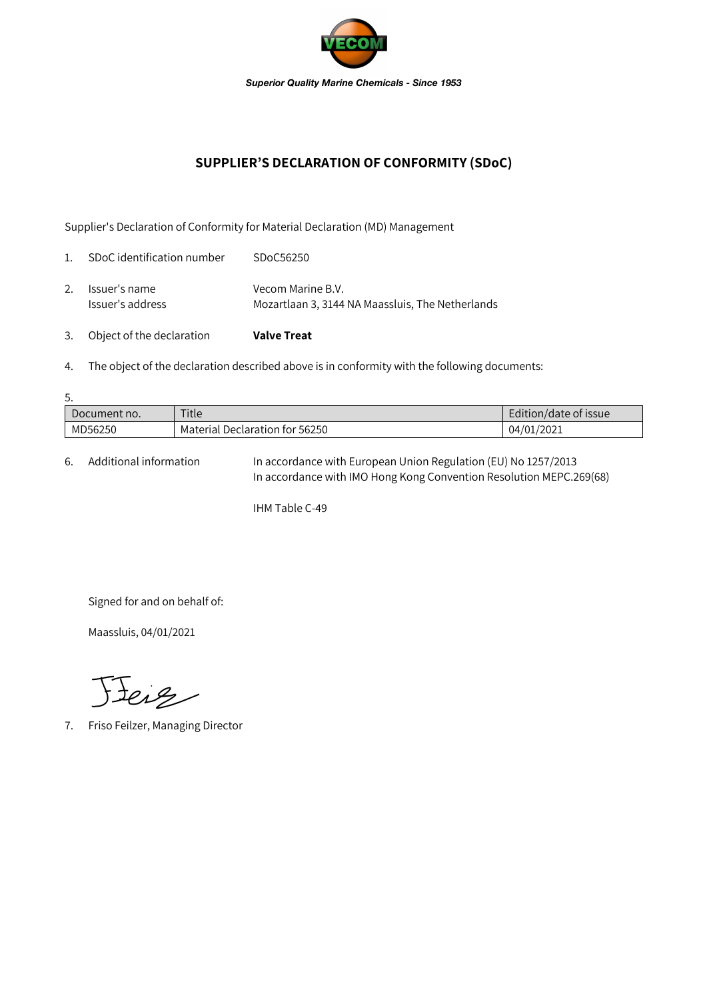

## **SUPPLIER'S DECLARATION OF CONFORMITY (SDoC)**

Supplier's Declaration of Conformity for Material Declaration (MD) Management

| 3.             | Object of the declaration         | <b>Valve Treat</b>                                                    |
|----------------|-----------------------------------|-----------------------------------------------------------------------|
| 2.             | Issuer's name<br>Issuer's address | Vecom Marine B.V.<br>Mozartlaan 3, 3144 NA Maassluis, The Netherlands |
| $\mathbf{1}$ . | SDoC identification number        | SDoC56250                                                             |

4. The object of the declaration described above is in conformity with the following documents:

| 5.           |                                |                       |  |  |  |
|--------------|--------------------------------|-----------------------|--|--|--|
| Document no. | Title                          | Edition/date of issue |  |  |  |
| MD56250      | Material Declaration for 56250 | 04/01/2021            |  |  |  |

6. Additional information In accordance with European Union Regulation (EU) No 1257/2013 In accordance with IMO Hong Kong Convention Resolution MEPC.269(68)

IHM Table C-49

Signed for and on behalf of:

Maassluis, 04/01/2021

Feig

7. Friso Feilzer, Managing Director